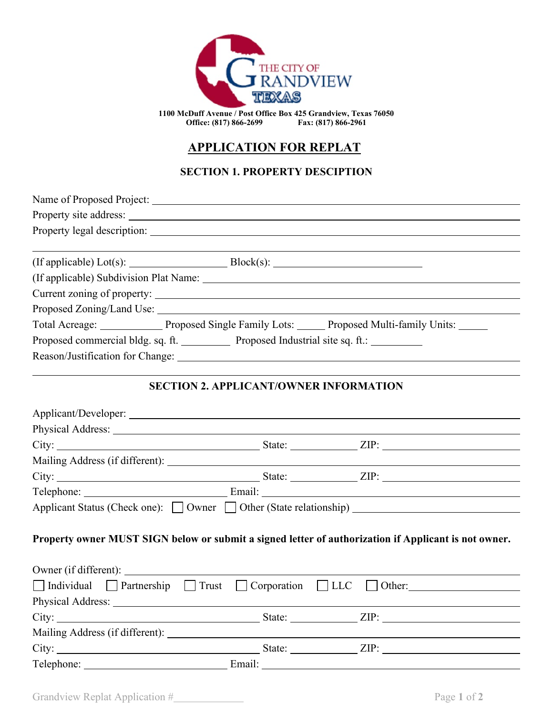

**1100 McDuff Avenue / Post Office Box 425 Grandview, Texas 76050 Office: (817) 866-2699 Fax: (817) 866-2961**

# **APPLICATION FOR REPLAT**

## **SECTION 1. PROPERTY DESCIPTION**

| Property site address: Note that the same state of the state of the state of the state of the state of the state of the state of the state of the state of the state of the state of the state of the state of the state of th |                                               |                                                                                                            |  |
|--------------------------------------------------------------------------------------------------------------------------------------------------------------------------------------------------------------------------------|-----------------------------------------------|------------------------------------------------------------------------------------------------------------|--|
|                                                                                                                                                                                                                                |                                               |                                                                                                            |  |
|                                                                                                                                                                                                                                |                                               |                                                                                                            |  |
| $($ If applicable) $Lot(s):$ Block $(s):$ Block $(s):$                                                                                                                                                                         |                                               |                                                                                                            |  |
|                                                                                                                                                                                                                                |                                               |                                                                                                            |  |
|                                                                                                                                                                                                                                |                                               |                                                                                                            |  |
|                                                                                                                                                                                                                                |                                               |                                                                                                            |  |
|                                                                                                                                                                                                                                |                                               | Total Acreage: Proposed Single Family Lots: Proposed Multi-family Units: View Proposed Multi-family Units: |  |
| Proposed commercial bldg. sq. ft. ____________ Proposed Industrial site sq. ft.: __________                                                                                                                                    |                                               |                                                                                                            |  |
|                                                                                                                                                                                                                                |                                               |                                                                                                            |  |
|                                                                                                                                                                                                                                |                                               |                                                                                                            |  |
|                                                                                                                                                                                                                                | <b>SECTION 2. APPLICANT/OWNER INFORMATION</b> |                                                                                                            |  |
|                                                                                                                                                                                                                                |                                               |                                                                                                            |  |
| Physical Address: Universe of the Second Second Second Second Second Second Second Second Second Second Second Second Second Second Second Second Second Second Second Second Second Second Second Second Second Second Second |                                               |                                                                                                            |  |
|                                                                                                                                                                                                                                |                                               |                                                                                                            |  |
|                                                                                                                                                                                                                                |                                               |                                                                                                            |  |
|                                                                                                                                                                                                                                |                                               |                                                                                                            |  |
|                                                                                                                                                                                                                                |                                               |                                                                                                            |  |
|                                                                                                                                                                                                                                |                                               | Applicant Status (Check one): Owner Other (State relationship)                                             |  |
|                                                                                                                                                                                                                                |                                               |                                                                                                            |  |
|                                                                                                                                                                                                                                |                                               | Property owner MUST SIGN below or submit a signed letter of authorization if Applicant is not owner.       |  |
|                                                                                                                                                                                                                                |                                               |                                                                                                            |  |
|                                                                                                                                                                                                                                |                                               |                                                                                                            |  |
|                                                                                                                                                                                                                                |                                               | □ Individual □ Partnership □ Trust □ Corporation □ LLC □ Other:                                            |  |
|                                                                                                                                                                                                                                |                                               |                                                                                                            |  |
|                                                                                                                                                                                                                                |                                               |                                                                                                            |  |
|                                                                                                                                                                                                                                |                                               |                                                                                                            |  |
|                                                                                                                                                                                                                                | State:                                        | ZIP:                                                                                                       |  |

Telephone: Email:

Grandview Replat Application # Page 1 of 2